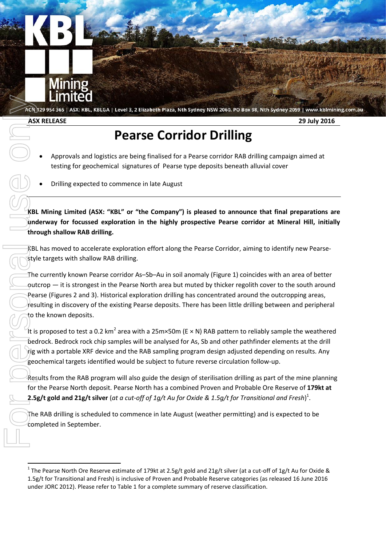

**ASX RELEASE 29 July 2016**

# **Pearse Corridor Drilling**

- Approvals and logistics are being finalised for a Pearse corridor RAB drilling campaign aimed at testing for geochemical signatures of Pearse type deposits beneath alluvial cover
- Drilling expected to commence in late August

**KBL Mining Limited (ASX: "KBL" or "the Company") is pleased to announce that final preparations are underway for focussed exploration in the highly prospective Pearse corridor at Mineral Hill, initially through shallow RAB drilling.**

KBL has moved to accelerate exploration effort along the Pearse Corridor, aiming to identify new Pearsestyle targets with shallow RAB drilling.

The currently known Pearse corridor As–Sb–Au in soil anomaly (Figure 1) coincides with an area of better outcrop — it is strongest in the Pearse North area but muted by thicker regolith cover to the south around Pearse (Figures 2 and 3). Historical exploration drilling has concentrated around the outcropping areas, resulting in discovery of the existing Pearse deposits. There has been little drilling between and peripheral to the known deposits. **Example 12**<br> **Example 2012**<br> **Example 2012**<br> **Example 2012**<br> **Pearse Corridor Drilling**<br> **Pearse complete**<br> **Pearse complete**<br> **Pearse complete**<br> **Pearse complete**<br> **Pearse referred to commence in late August**<br> **Example 1** 

It is proposed to test a 0.2 km<sup>2</sup> area with a 25m×50m (E × N) RAB pattern to reliably sample the weathered bedrock. Bedrock rock chip samples will be analysed for As, Sb and other pathfinder elements at the drill rig with a portable XRF device and the RAB sampling program design adjusted depending on results. Any geochemical targets identified would be subject to future reverse circulation follow-up.

Results from the RAB program will also guide the design of sterilisation drilling as part of the mine planning for the Pearse North deposit. Pearse North has a combined Proven and Probable Ore Reserve of **179kt at 2.5g/t gold and 21g/t silver** (*at a cut-off of 1g/t Au for Oxide & 1.5g/t for Transitional and Fresh*) 1 .

The RAB drilling is scheduled to commence in late August (weather permitting) and is expected to be completed in September.

<sup>&</sup>lt;sup>1</sup> The Pearse North Ore Reserve estimate of 179kt at 2.5g/t gold and 21g/t silver (at a cut-off of 1g/t Au for Oxide & 1.5g/t for Transitional and Fresh) is inclusive of Proven and Probable Reserve categories (as released 16 June 2016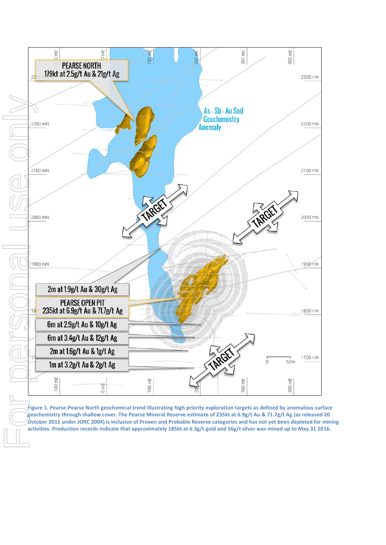

**Figure 1. Pearse-Pearse North geochemical trend illustrating high priority exploration targets as defined by anomalous surface geochemistry through shallow cover. The Pearse Mineral Reserve estimate of 235kt at 6.9g/t Au & 71.7g/t Ag (as released 20**  October 2011 under JORC 2004) is inclusive of Proven and Probable Reserve categories and has not yet been depleted for mining activities. Production records indicate that approximately 185kt at 6.3g/t gold and 56g/t silver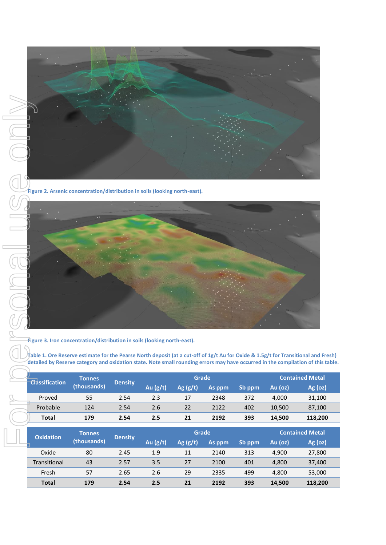

**Figure 2. Arsenic concentration/distribution in soils (looking north-east).**



**Figure 3. Iron concentration/distribution in soils (looking north-east).**

**Table 1. Ore Reserve estimate for the Pearse North deposit (at a cut-off of 1g/t Au for Oxide & 1.5g/t for Transitional and Fresh) detailed by Reserve category and oxidation state. Note small rounding errors may have occurred in the compilation of this table.**

|  | <b>Classification</b> | <b>Tonnes</b><br>(thousands) | <b>Density</b> | Grade      |            |        |        | <b>Contained Metal</b> |         |
|--|-----------------------|------------------------------|----------------|------------|------------|--------|--------|------------------------|---------|
|  |                       |                              |                | Au $(g/t)$ | Ag $(g/t)$ | As ppm | Sb ppm | Au $(oz)$              | Ag (oz) |
|  | Proved                | 55                           | 2.54           | 2.3        | 17         | 2348   | 372    | 4.000                  | 31,100  |
|  | Probable              | 124                          | 2.54           | 2.6        | 22         | 2122   | 402    | 10,500                 | 87,100  |
|  | <b>Total</b>          | 179                          | 2.54           | 2.5        | 21         | 2192   | 393    | 14,500                 | 118,200 |

| <b>Oxidation</b> | <b>Tonnes</b><br>(thousands) | <b>Density</b> | Grade      |            |        |        | <b>Contained Metal</b> |         |
|------------------|------------------------------|----------------|------------|------------|--------|--------|------------------------|---------|
|                  |                              |                | Au $(g/t)$ | Ag $(g/t)$ | As ppm | Sb ppm | Au (oz)                | Ag (oz) |
| Oxide            | 80                           | 2.45           | 1.9        | 11         | 2140   | 313    | 4,900                  | 27,800  |
| Transitional     | 43                           | 2.57           | 3.5        | 27         | 2100   | 401    | 4,800                  | 37,400  |
| Fresh            | 57                           | 2.65           | 2.6        | 29         | 2335   | 499    | 4,800                  | 53,000  |
| <b>Total</b>     | 179                          | 2.54           | 2.5        | 21         | 2192   | 393    | 14,500                 | 118,200 |